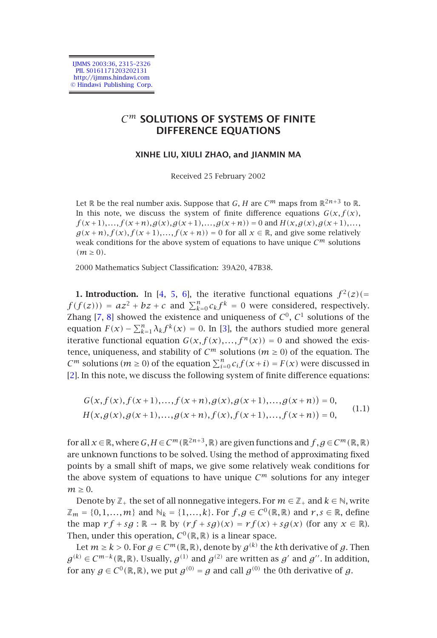IJMMS 2003:36, 2315–2326 PII. S0161171203202131 http://ijmms.hindawi.com © Hindawi Publishing Corp.

# *C<sup>m</sup>* **SOLUTIONS OF SYSTEMS OF FINITE DIFFERENCE EQUATIONS**

## **XINHE LIU, XIULI ZHAO, and JIANMIN MA**

<span id="page-0-0"></span>Received 25 February 2002

Let  $\mathbb R$  be the real number axis. Suppose that *G*, *H* are  $C^m$  maps from  $\mathbb R^{2n+3}$  to  $\mathbb R$ . In th[is](#page-11-0) [no](#page-11-1)te, we discuss the system of finite difference equations  $G(x, f(x))$ ,  $f(x+1),..., f(x+n), g(x), g(x+1),...,g(x+n)) = 0$  $f(x+1),..., f(x+n), g(x), g(x+1),...,g(x+n)) = 0$  $f(x+1),..., f(x+n), g(x), g(x+1),...,g(x+n)) = 0$  and  $H(x, g(x), g(x+1),...$  $g(x+n), f(x), f(x+1),..., f(x+n)) = 0$  for all  $x \in \mathbb{R}$ , and give some relatively weak conditions for the above system of equations to have unique  $C^m$  solutions  $(m > 0)$ .

[2](#page-10-1)000 Mathematics Subject Classification: 39A20, 47B38.

**1. Introduction.** In [4, 5, 6], the iterative functional equations  $f^2(z)$  (=  $f(f(z)) = az^2 + bz + c$  and  $\sum_{k=0}^{n} c_k f^k = 0$  were considered, respectively. Zhang [7, 8] showed the existence and uniqueness of  $C^0$ ,  $C^1$  solutions of the equation  $F(x) - \sum_{k=1}^{n} \lambda_k f^k(x) = 0$ . In [3], the authors studied more general iterative functional equation  $G(x, f(x),..., f^n(x)) = 0$  and showed the existence, uniqueness, and stability of  $C^m$  solutions ( $m \ge 0$ ) of the equation. The *C*<sup>*m*</sup> solutions (*m*  $\ge$  0) of the equation  $\sum_{i=0}^{n} c_i f(x+i) = F(x)$  were discussed in [2]. In this note, we discuss the following system of finite difference equations:

$$
G(x, f(x), f(x+1),..., f(x+n), g(x), g(x+1),..., g(x+n)) = 0,
$$
  
H(x, g(x), g(x+1),..., g(x+n), f(x), f(x+1),..., f(x+n)) = 0, (1.1)

for all  $x \in \mathbb{R}$ , where  $G, H \in C^m(\mathbb{R}^{2n+3}, \mathbb{R})$  are given functions and  $f, g \in C^m(\mathbb{R}, \mathbb{R})$ are unknown functions to be solved. Using the method of approximating fixed points by a small shift of maps, we give some relatively weak conditions for the above system of equations to have unique  $C^m$  solutions for any integer  $m \geq 0$ .

Denote by  $\mathbb{Z}_+$  the set of all nonnegative integers. For  $m \in \mathbb{Z}_+$  and  $k \in \mathbb{N}$ , write  $\mathbb{Z}_m = \{0, 1, \ldots, m\}$  and  $\mathbb{N}_k = \{1, \ldots, k\}$ . For  $f, g \in C^0(\mathbb{R}, \mathbb{R})$  and  $r, s \in \mathbb{R}$ , define the map  $rf + sg : \mathbb{R} \to \mathbb{R}$  by  $(rf + sg)(x) = rf(x) + sg(x)$  (for any  $x \in \mathbb{R}$ ). Then, under this operation,  $C^0(\mathbb{R}, \mathbb{R})$  is a linear space.

Let *m* ≥ *k* > 0. For *g* ∈  $C^m(\mathbb{R}, \mathbb{R})$ , denote by  $g^{(k)}$  the *k*th derivative of *g*. Then *g*<sup>(k)</sup> ∈ *C*<sup>*m*−*k*</sup>(ℝ,ℝ). Usually,  $g^{(1)}$  and  $g^{(2)}$  are written as  $g'$  and  $g''$ . In addition, for any  $g \in C^0(\mathbb{R}, \mathbb{R})$ , we put  $g^{(0)} = g$  and call  $g^{(0)}$  the 0th derivative of  $g$ .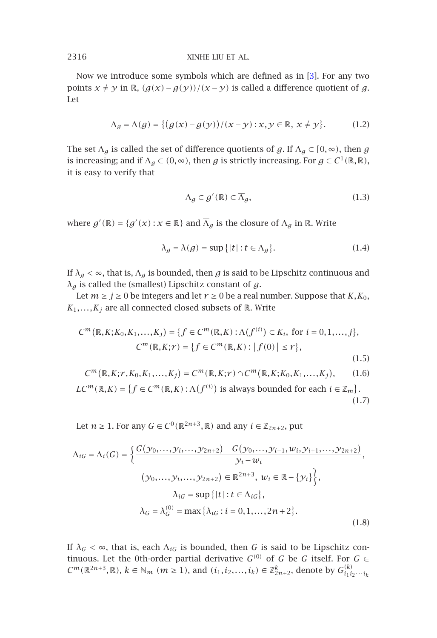Now we introduce some symbols which are defined as in [3]. For any two points *x* ≠ *y* in ℝ,  $(g(x) - g(y))/(x - y)$  is called a difference quotient of *g*. Let

$$
\Lambda_g = \Lambda(g) = \{ (g(x) - g(y)) / (x - y) : x, y \in \mathbb{R}, x \neq y \}. \tag{1.2}
$$

The set  $\Lambda_g$  is called the set of difference quotients of  $g$ . If  $\Lambda_g \subset [0, \infty)$ , then  $g$ is increasing; and if  $\Lambda_g \subset (0, \infty)$ , then *g* is strictly increasing. For  $g \in C^1(\mathbb{R}, \mathbb{R})$ , it is easy to verify that

<span id="page-1-0"></span>
$$
\Lambda_g \subset g'(\mathbb{R}) \subset \overline{\Lambda}_g,\tag{1.3}
$$

where  $g'(\mathbb{R}) = \{g'(x) : x \in \mathbb{R}\}$  and  $\overline{\Lambda}_g$  is the closure of  $\Lambda_g$  in  $\mathbb{R}$ . Write

<span id="page-1-1"></span>
$$
\lambda_g = \lambda(g) = \sup\{|t| : t \in \Lambda_g\}.
$$
\n(1.4)

If  $\lambda_g < \infty$ , that is,  $\Lambda_g$  is bounded, then *g* is said to be Lipschitz continuous and *λg* is called the (smallest) Lipschitz constant of *g*.

Let  $m \ge j \ge 0$  be integers and let  $r \ge 0$  be a real number. Suppose that  $K$ ,  $K_0$ ,  $K_1, \ldots, K_j$  are all connected closed subsets of  $\mathbb R$ . Write

$$
C^{m}(\mathbb{R}, K; K_{0}, K_{1},..., K_{j}) = \{f \in C^{m}(\mathbb{R}, K) : \Lambda(f^{(i)}) \subset K_{i}, \text{ for } i = 0, 1,..., j\},\
$$

$$
C^{m}(\mathbb{R}, K; r) = \{f \in C^{m}(\mathbb{R}, K) : |f(0)| \leq r\},\
$$
(1.5)

$$
C^m(\mathbb{R}, K; r, K_0, K_1, \dots, K_j) = C^m(\mathbb{R}, K; r) \cap C^m(\mathbb{R}, K; K_0, K_1, \dots, K_j), \qquad (1.6)
$$

 $LC^m(\mathbb{R}, K) = \{f \in C^m(\mathbb{R}, K) : \Lambda(f^{(i)}) \text{ is always bounded for each } i \in \mathbb{Z}_m\}.$ (1.7)

Let *n* ≥ 1. For any *G* ∈ *C*<sup>0</sup>( $\mathbb{R}^{2n+3}$ ,  $\mathbb{R}$ ) and any *i* ∈  $\mathbb{Z}_{2n+2}$ , put

$$
\Lambda_{iG} = \Lambda_i(G) = \left\{ \frac{G(\gamma_0, ..., \gamma_i, ..., \gamma_{2n+2}) - G(\gamma_0, ..., \gamma_{i-1}, w_i, \gamma_{i+1}, ..., \gamma_{2n+2})}{\gamma_i - w_i}, \right. \\
(\gamma_0, ..., \gamma_i, ..., \gamma_{2n+2}) \in \mathbb{R}^{2n+3}, w_i \in \mathbb{R} - \{\gamma_i\} \right\}, \\
\lambda_{iG} = \sup \{ |t| : t \in \Lambda_{iG} \}, \\
\lambda_G = \lambda_G^{(0)} = \max \{ \lambda_{iG} : i = 0, 1, ..., 2n+2 \}.
$$
\n(1.8)

If  $\lambda_G < \infty$ , that is, each  $\Lambda_{iG}$  is bounded, then *G* is said to be Lipschitz continuous. Let the 0th-order partial derivative  $G^{(0)}$  of  $G$  be  $G$  itself. For  $G \in$ *C*<sup>*m*</sup>(ℝ<sup>2*n*+3</sup>,ℝ),  $k \in \mathbb{N}_m$  (*m* ≥ 1), and (*i*<sub>1</sub>, *i*<sub>2</sub>,...,*i*<sub>k</sub>) ∈  $\mathbb{Z}_{2n+2}^k$ , denote by  $G_{i_1 i_2 \cdots i_k}^{(k)}$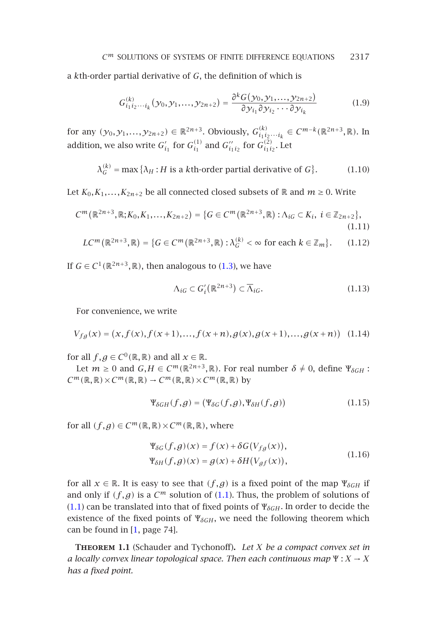a *k*th-order partial derivative of *G*, the definition of which is

<span id="page-2-3"></span><span id="page-2-2"></span>
$$
G_{i_1 i_2 \cdots i_k}^{(k)} (y_0, y_1, \ldots, y_{2n+2}) = \frac{\partial^k G(y_0, y_1, \ldots, y_{2n+2})}{\partial y_{i_1} \partial y_{i_2} \cdots \partial y_{i_k}}
$$
(1.9)

for any  $(y_0, y_1, \ldots, y_{2n+2})$  ∈  $\mathbb{R}^{2n+3}$ . Obviously,  $G^{(k)}_{i_1 i_2 \cdots i_k}$  ∈  $C^{m-k}(\mathbb{R}^{2n+3}, \mathbb{R})$ . In addition, we also write  $G'_{i_1}$  for  $G^{(1)}_{i_1}$  and  $G''_{i_1i_2}$  for  $G^{(2)}_{i_1i_2}$ . Let

$$
\lambda_G^{(k)} = \max \{ \lambda_H : H \text{ is a kth-order partial derivative of } G \}. \tag{1.10}
$$

Let  $K_0, K_1, \ldots, K_{2n+2}$  be all connected closed subsets of  $\mathbb R$  and  $m \ge 0$ . Write

$$
C^m(\mathbb{R}^{2n+3}, \mathbb{R}; K_0, K_1, \dots, K_{2n+2}) = \{ G \in C^m(\mathbb{R}^{2n+3}, \mathbb{R}) : \Lambda_{iG} \subset K_i, \ i \in \mathbb{Z}_{2n+2} \},
$$
\n(1.11)

$$
LC^m(\mathbb{R}^{2n+3}, \mathbb{R}) = \{ G \in C^m(\mathbb{R}^{2n+3}, \mathbb{R}) : \lambda_G^{(k)} < \infty \text{ for each } k \in \mathbb{Z}_m \}. \tag{1.12}
$$

If  $G \in C^1(\mathbb{R}^{2n+3}, \mathbb{R})$ , then analogous to (1.3), we have

<span id="page-2-4"></span><span id="page-2-0"></span>
$$
\Lambda_{iG} \subset G'_{i}(\mathbb{R}^{2n+3}) \subset \overline{\Lambda}_{iG}.\tag{1.13}
$$

For convenience, we write

$$
V_{fg}(x) = (x, f(x), f(x+1), \dots, f(x+n), g(x), g(x+1), \dots, g(x+n)) \quad (1.14)
$$

for all  $f, g \in C^0(\mathbb{R}, \mathbb{R})$  and all  $x \in \mathbb{R}$ .

Let  $m \geq 0$  and  $G, H \in C^m(\mathbb{R}^{2n+3}, \mathbb{R})$ . For real number  $\delta \neq 0$ , define  $\Psi_{\delta GH}$ :  $C^m(\mathbb{R}, \mathbb{R}) \times C^m(\mathbb{R}, \mathbb{R}) \to C^m(\mathbb{R}, \mathbb{R}) \times C^m(\mathbb{R}, \mathbb{R})$  by

$$
\Psi_{\delta GH}(f,g) = (\Psi_{\delta G}(f,g), \Psi_{\delta H}(f,g))
$$
\n(1.15)

<span id="page-2-1"></span>for all  $(f,g) \in C^m(\mathbb{R},\mathbb{R}) \times C^m(\mathbb{R},\mathbb{R})$  $(f,g) \in C^m(\mathbb{R},\mathbb{R}) \times C^m(\mathbb{R},\mathbb{R})$  $(f,g) \in C^m(\mathbb{R},\mathbb{R}) \times C^m(\mathbb{R},\mathbb{R})$ , where

$$
\Psi_{\delta G}(f,g)(x) = f(x) + \delta G(V_{fg}(x)),
$$
  
\n
$$
\Psi_{\delta H}(f,g)(x) = g(x) + \delta H(V_{gf}(x)),
$$
\n(1.16)

for all  $x \in \mathbb{R}$ . It is easy to see that  $(f, g)$  is a fixed point of the map  $\Psi_{\delta GH}$  if and only if  $(f, g)$  is a  $C^m$  solution of  $(1.1)$ . Thus, the problem of solutions of (1.1) can be translated into that of fixed points of  $\Psi_{\delta GH}$ . In order to decide the existence of the fixed points of Ψ<sub>δGH</sub>, we need the following theorem which can be found in [1, page 74].

**Theorem 1.1** (Schauder and Tychonoff)**.** *Let X be a compact convex set in a locally convex linear topological space. Then each continuous map* Ψ : *X* → *X has a fixed point.*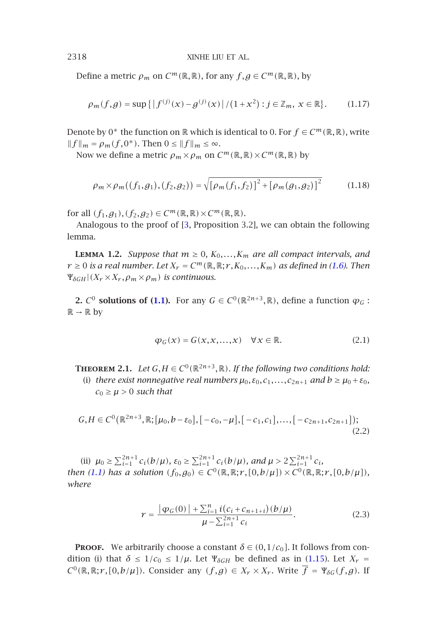Define a metric  $\rho_m$  on  $C^m(\mathbb{R}, \mathbb{R})$ , for any  $f, g \in C^m(\mathbb{R}, \mathbb{R})$ , by

$$
\rho_m(f,g) = \sup\{|f^{(j)}(x) - g^{(j)}(x)| / (1 + x^2) : j \in \mathbb{Z}_m, x \in \mathbb{R}\}.
$$
 (1.17)

Denote by 0<sup>∗</sup> the function on  $\mathbb R$  which is identical to 0. For  $f \in C^m(\mathbb R,\mathbb R)$ , write  $||f||_m = \rho_m(f, 0^*)$ . Then  $0 \le ||f||_m \le \infty$ .

Now we define a metric  $\rho_m \times \rho_m$  on  $C^m(\mathbb{R}, \mathbb{R}) \times C^m(\mathbb{R}, \mathbb{R})$  by

$$
\rho_m \times \rho_m((f_1, g_1), (f_2, g_2)) = \sqrt{[\rho_m(f_1, f_2)]^2 + [\rho_m(g_1, g_2)]^2}
$$
 (1.18)

*for all*  $(f_1, g_1), (f_2, g_2) \in C^m(\mathbb{R}, \mathbb{R}) \times C^m(\mathbb{R}, \mathbb{R})$ .

Analogous to the proof of [3, Proposition 3.2], we can obtain the following lemma.

<span id="page-3-0"></span>**LEMMA 1.2.** *Suppose that*  $m \geq 0$ ,  $K_0, \ldots, K_m$  *are all compact intervals, and*  $r \geq 0$  *is a real number. Let*  $X_r = C^m(\mathbb{R}, \mathbb{R}; r, K_0, \ldots, K_m)$  *as defined in (1.6). Then*  $\Psi_{\delta GH}$   $(X_r \times X_r, \rho_m \times \rho_m)$  *is continuous.* 

**2.**  $C^0$  **solutions of (1.1).** For any  $G \in C^0(\mathbb{R}^{2n+3}, \mathbb{R})$ , define a function  $\varphi_G$ :  $\mathbb{R} \to \mathbb{R}$  by

$$
\varphi_G(x) = G(x, x, \dots, x) \quad \forall x \in \mathbb{R}.\tag{2.1}
$$

**THEOREM 2.1.** *Let*  $G, H \in C^0(\mathbb{R}^{2n+3}, \mathbb{R})$ *. If the following two conditions hold:* (i) *there exist nonnegative real numbers*  $\mu_0$ ,  $\varepsilon_0$ ,  $c_1$ , ...,  $c_{2n+1}$  *and*  $b \ge \mu_0 + \varepsilon_0$ ,  $c_0 \geq \mu > 0$  *such that* 

$$
G, H \in C^{0}(\mathbb{R}^{2n+3}, \mathbb{R}; [\mu_{0}, b - \varepsilon_{0}], [-c_{0}, -\mu], [-c_{1}, c_{1}], \dots, [-c_{2n+1}, c_{2n+1}]);
$$
\n(2.2)

(ii)  $\mu_0 \ge \sum_{i=1}^{2n+1} c_i(b/\mu)$ ,  $\varepsilon_0 \ge \sum_{i=1}^{2n+1} c_i(b/\mu)$ , and  $\mu > 2 \sum_{i=1}^{2n+1} c_i$ , *then* (1.1) has a solution  $(f_0, g_0) \in C^0(\mathbb{R}, \mathbb{R}; r, [0, b/\mu]) \times C^0(\mathbb{R}, \mathbb{R}; r, [0, b/\mu])$ , *where*

$$
\gamma = \frac{|\varphi_G(0)| + \sum_{i=1}^n i(c_i + c_{n+1+i})(b/\mu)}{\mu - \sum_{i=1}^{2n+1} c_i}.
$$
 (2.3)

**PROOF.** We arbitrarily choose a constant  $\delta \in (0,1/c_0]$ . It follows from condition (i) that  $\delta \leq 1/c_0 \leq 1/\mu$ . Let  $\Psi_{\delta GH}$  be defined as in (1.15). Let  $X_r =$  $C^0(\mathbb{R}, \mathbb{R}; r, [0, b/\mu])$ . Consider any  $(f, g) \in X_r \times X_r$ . Write  $\overline{f} = \Psi_{\delta G}(f, g)$ . If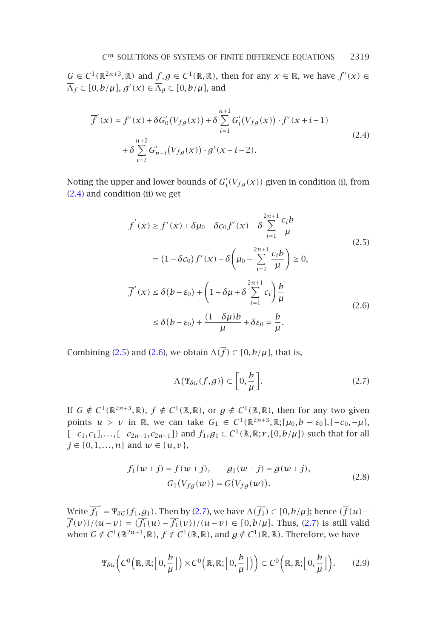$G \in C^1(\mathbb{R}^{2n+3}, \mathbb{R})$  and  $f, g \in C^1(\mathbb{R}, \mathbb{R})$ , then for any  $x \in \mathbb{R}$ , we have  $f'(x) \in$  $\overline{\Lambda}_f \subset [0, b/\mu]$ ,  $g'(x) \in \overline{\Lambda}_g \subset [0, b/\mu]$ , and

<span id="page-4-0"></span>
$$
\overline{f}'(x) = f'(x) + \delta G'_0(V_{fg}(x)) + \delta \sum_{i=1}^{n+1} G'_i(V_{fg}(x)) \cdot f'(x + i - 1) \n+ \delta \sum_{i=2}^{n+2} G'_{n+i}(V_{fg}(x)) \cdot g'(x + i - 2).
$$
\n(2.4)

Noting the upper and lower bounds of  $G'_{i}(V_{fg}(x))$  given in condition (i), from (2.4) and condition (ii) we get

<span id="page-4-1"></span>
$$
\overline{f}'(x) \ge f'(x) + \delta \mu_0 - \delta c_0 f'(x) - \delta \sum_{i=1}^{2n+1} \frac{c_i b}{\mu}
$$
\n
$$
= (1 - \delta c_0) f'(x) + \delta \left(\mu_0 - \sum_{i=1}^{2n+1} \frac{c_i b}{\mu}\right) \ge 0,
$$
\n
$$
\overline{f}'(x) \le \delta (b - \varepsilon_0) + \left(1 - \delta \mu + \delta \sum_{i=1}^{2n+1} c_i\right) \frac{b}{\mu}
$$
\n
$$
\le \delta (b - \varepsilon_0) + \frac{(1 - \delta \mu)b}{\mu} + \delta \varepsilon_0 = \frac{b}{\mu}.
$$
\n(2.6)

Combining (2.5) and (2.6), we obtain  $\Lambda(\overline{f}) \subset [0, b/\mu]$ , that is,

<span id="page-4-2"></span>
$$
\Lambda(\Psi_{\delta G}(f,g)) \subset \left[0, \frac{b}{\mu}\right].\tag{2.7}
$$

If  $G \notin C^1(\mathbb{R}^{2n+3}, \mathbb{R})$ ,  $f \notin C^1(\mathbb{R}, \mathbb{R})$ [, o](#page-4-2)r  $g \notin C^1(\mathbb{R}, \mathbb{R})$ , then for any two given points  $u > v$  in  $\mathbb{R}$ , we can take  $G_1 \in C^1(\mathbb{R}^{2n+3}, \mathbb{R}; [\mu_0, b - \varepsilon_0], [-c_0, -\mu],$ *[*−*c*<sub>1</sub>*, c*<sub>1</sub>*]*,...,[−*c*<sub>2*n*+1</sub>*,c*<sub>2*n*+1</sub>]) and *f*<sub>1</sub>*,g*<sub>1</sub> ∈ *C*<sup>1</sup>(ℝ,ℝ;*r*,[0*,b/µ*]) such that for all *j* ∈ {0,1,...,*n*} and *w* ∈ {*u*, *v*},

$$
f_1(w+j) = f(w+j), \qquad g_1(w+j) = g(w+j),
$$
  
\n
$$
G_1(V_{fg}(w)) = G(V_{fg}(w)).
$$
\n(2.8)

Write  $\overline{f_1}' = \Psi_{\delta G}(f_1, g_1)$ . Then by (2.7), we have  $\Lambda(\overline{f_1}) \subset [0, b/\mu]$ ; hence  $(\overline{f}(u)$ *f*(*v*))/(*u*−*v*) =  $(f_1(u) - f_1(v))/(u−v) \in [0,b/\mu]$ . Thus, (2.7) is still valid when *G*  $\notin C^1(\mathbb{R}^{2n+3}, \mathbb{R})$ ,  $f \notin C^1(\mathbb{R}, \mathbb{R})$ , and  $g \notin C^1(\mathbb{R}, \mathbb{R})$ . Therefore, we have

$$
\Psi_{\delta G}\left(C^0\left(\mathbb{R},\mathbb{R};\left[0,\frac{b}{\mu}\right]\right)\times C^0\left(\mathbb{R},\mathbb{R};\left[0,\frac{b}{\mu}\right]\right)\right)\subset C^0\left(\mathbb{R},\mathbb{R};\left[0,\frac{b}{\mu}\right]\right). \tag{2.9}
$$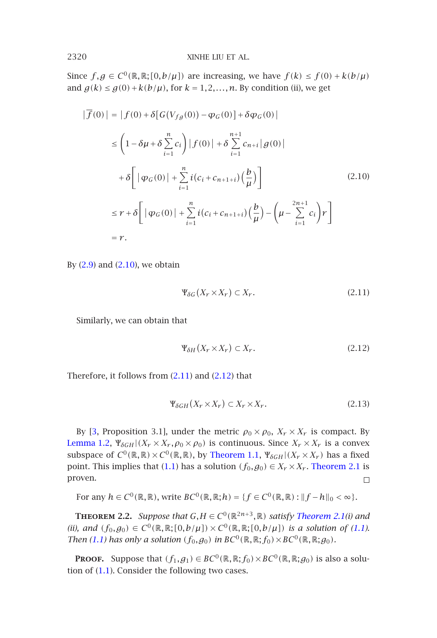Since  $f,g \in C^0(\mathbb{R},\mathbb{R};[0,b/\mu])$  are increasing, we have  $f(k) \le f(0) + k(b/\mu)$ and  $g(k) \le g(0) + k(b/\mu)$ , for  $k = 1, 2, ..., n$ . By condition (ii), we get

<span id="page-5-0"></span>
$$
|\overline{f}(0)| = |f(0) + \delta[G(V_{fg}(0)) - \varphi_G(0)] + \delta \varphi_G(0)|
$$
  
\n
$$
\leq \left(1 - \delta \mu + \delta \sum_{i=1}^n c_i\right) |f(0)| + \delta \sum_{i=1}^{n+1} c_{n+i} |g(0)|
$$
  
\n
$$
+ \delta \left[ |\varphi_G(0)| + \sum_{i=1}^n i(c_i + c_{n+1+i}) \left(\frac{b}{\mu}\right) \right]
$$
  
\n
$$
\leq r + \delta \left[ |\varphi_G(0)| + \sum_{i=1}^n i(c_i + c_{n+1+i}) \left(\frac{b}{\mu}\right) - \left(\mu - \sum_{i=1}^{2n+1} c_i\right) r \right]
$$
  
\n
$$
= r.
$$
\n(2.10)

By  $(2.9)$  and  $(2.10)$ , we obtain

<span id="page-5-2"></span>
$$
\Psi_{\delta G}(X_r \times X_r) \subset X_r. \tag{2.11}
$$

Similarly, we can obtain that

$$
\Psi_{\delta H}(X_r \times X_r) \subset X_r. \tag{2.12}
$$

<span id="page-5-1"></span>Therefore, it follows from (2.11) and (2.12) that

$$
\Psi_{\delta GH}(X_r \times X_r) \subset X_r \times X_r. \tag{2.13}
$$

[By](#page-0-0) [3, Proposition 3.1], under the metric  $\rho_0 \times \rho_0$ ,  $X_r \times X_r$  is compac[t.](#page-0-0) By Lem[ma](#page-0-0) [1.](#page-0-0)2,  $\Psi_{\delta GH} | (X_r \times X_r, \rho_0 \times \rho_0)$  is continuous. Since  $X_r \times X_r$  is a convex subspace of  $C^0(\mathbb{R}, \mathbb{R}) \times C^0(\mathbb{R}, \mathbb{R})$ , by Theorem 1.1,  $\Psi_{\delta GH}|(X_r \times X_r)$  has a fixed point. [This](#page-0-0) implies that (1.1) has a solution  $(f_0, g_0) \in X_r \times X_r$ . Theorem 2.1 is proven.  $\Box$ 

For any  $h \in C^0(\mathbb{R}, \mathbb{R})$ , write  $BC^0(\mathbb{R}, \mathbb{R}; h) = \{f \in C^0(\mathbb{R}, \mathbb{R}) : ||f - h||_0 < \infty\}$ .

**THEOREM 2.2.** *Suppose that*  $G, H \in C^0(\mathbb{R}^{2n+3}, \mathbb{R})$  *satisfy Theorem 2.1(i) and (ii), and*  $(f_0, g_0) \in C^0(\mathbb{R}, \mathbb{R}; [0, b/\mu]) \times C^0(\mathbb{R}, \mathbb{R}; [0, b/\mu])$  *is a solution of (1.1). Then* (1.1) has only a solution  $(f_0, g_0)$  in  $BC^0(\mathbb{R}, \mathbb{R}; f_0) \times BC^0(\mathbb{R}, \mathbb{R}; g_0)$ *.* 

**PROOF.** Suppose that  $(f_1, g_1) \in BC^0(\mathbb{R}, \mathbb{R}; f_0) \times BC^0(\mathbb{R}, \mathbb{R}; g_0)$  is also a solution of (1.1). Consider the following two cases.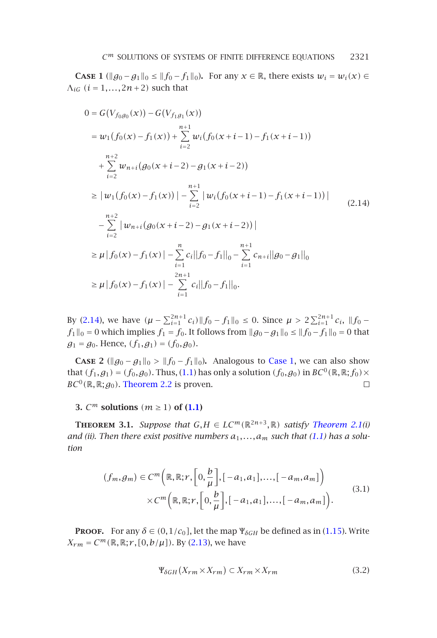<span id="page-6-1"></span>**CASE 1** ( $||g_0 - g_1||_0 \le ||f_0 - f_1||_0$ ). For any  $x \in \mathbb{R}$ , there exists  $w_i = w_i(x) \in$  $\Lambda_{iG}$   $(i = 1, \ldots, 2n + 2)$  such that

<span id="page-6-0"></span>
$$
0 = G(V_{f_0g_0}(x)) - G(V_{f_1g_1}(x))
$$
  
\n
$$
= w_1(f_0(x) - f_1(x)) + \sum_{i=2}^{n+1} w_i(f_0(x+i-1) - f_1(x+i-1))
$$
  
\n
$$
+ \sum_{i=2}^{n+2} w_{n+i}(g_0(x+i-2) - g_1(x+i-2))
$$
  
\n
$$
\ge |w_1(f_0(x) - f_1(x))| - \sum_{i=2}^{n+1} |w_i(f_0(x+i-1) - f_1(x+i-1))|
$$
  
\n
$$
- \sum_{i=2}^{n+2} |w_{n+i}(g_0(x+i-2) - g_1(x+i-2))|
$$
  
\n
$$
\ge \mu |f_0(x) - f_1(x)| - \sum_{i=1}^{n} c_i ||f_0 - f_1||_0 - \sum_{i=1}^{n+1} c_{n+i} ||g_0 - g_1||_0
$$
  
\n
$$
\ge \mu |f_0(x) - f_1(x)| - \sum_{i=1}^{2n+1} c_i ||f_0 - f_1||_0.
$$

<span id="page-6-3"></span>By (2.14), we have  $(\mu - \sum_{i=1}^{2n+1} c_i) \| f_0 - f_1 \|_0 \le 0$  $(\mu - \sum_{i=1}^{2n+1} c_i) \| f_0 - f_1 \|_0 \le 0$  $(\mu - \sum_{i=1}^{2n+1} c_i) \| f_0 - f_1 \|_0 \le 0$ . Since  $\mu > 2 \sum_{i=1}^{2n+1} c_i$ ,  $\| f_0 - f_1 \|_0$ *f*<sub>1</sub>  $||$ <sub>0</sub> = 0 which implies *f*<sub>1</sub> = *f*<sub>0</sub>. It follows from  $||$ *g*<sub>0</sub>[−](#page-0-0)*g*<sub>1</sub> $||$ <sub>0</sub> ≤  $||$ *f*<sub>0</sub>−*f*<sub>1</sub> $||$ <sub>0</sub> = 0 that  $g_1 = g_0$ . Hence,  $(f_1, g_1) = (f_0, g_0)$ .

**CASE 2** ( $||g_0 - g_1||_0 > ||f_0 - f_1||_0$ ). Analogous to Case 1, we can also show that  $(f_1, g_1) = (f_0, g_0)$ . Thus, (1.1) has only a solution  $(f_0, g_0)$  in  $BC^0(\mathbb{R}, \mathbb{R}; f_0) \times$  $BC^0(\mathbb{R}, \mathbb{R}; g_0)$ . Theorem 2.2 is proven.  $\Box$ 

## **3.**  $C^m$  **solutions**  $(m \ge 1)$  **of (1.1)**

**THEOREM** 3.1. *Suppose that*  $G, H \in LC^m(\mathbb{R}^{2n+3}, \mathbb{R})$  *satisfy Th[eorem](#page-2-0) 2.1(i)* and (ii). Then there exist positiv[e num](#page-5-2)bers  $a_1, \ldots, a_m$  such that (1.1) has a solu*tion*

$$
(f_m, g_m) \in C^m\left(\mathbb{R}, \mathbb{R}; r, \left[0, \frac{b}{\mu}\right], \left[-a_1, a_1\right], \dots, \left[-a_m, a_m\right]\right) \times C^m\left(\mathbb{R}, \mathbb{R}; r, \left[0, \frac{b}{\mu}\right], \left[-a_1, a_1\right], \dots, \left[-a_m, a_m\right]\right).
$$
\n(3.1)

**PROOF.** For any  $\delta \in (0, 1/c_0]$ , let the map  $\Psi_{\delta GH}$  be defined as in (1.15). Write  $X_{rm} = C^{m}(\mathbb{R}, \mathbb{R}; r, [0, b/\mu])$ . By (2.13), we have

<span id="page-6-2"></span>
$$
\Psi_{\delta GH}(X_{rm} \times X_{rm}) \subset X_{rm} \times X_{rm}
$$
\n(3.2)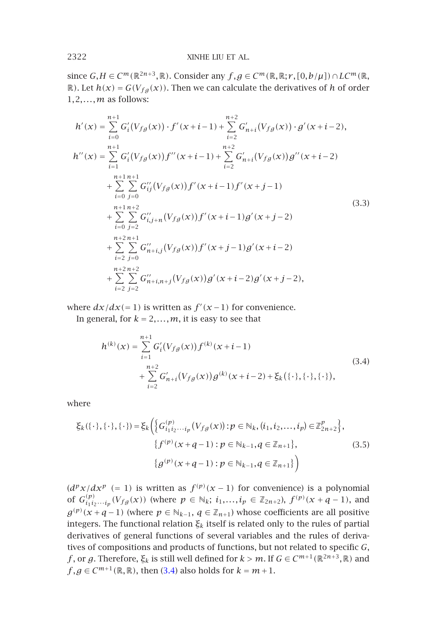since  $G, H \in C^m(\mathbb{R}^{2n+3}, \mathbb{R})$ . Consider any  $f, g \in C^m(\mathbb{R}, \mathbb{R}; r, [0, b/\mu]) \cap LC^m(\mathbb{R},$  $\mathbb{R}$ ). Let  $h(x) = G(V_{fg}(x))$ . Then we can calculate the derivatives of *h* of order 1*,*2*,...,m* as follows:

$$
h'(x) = \sum_{i=0}^{n+1} G'_i(V_{fg}(x)) \cdot f'(x+i-1) + \sum_{i=2}^{n+2} G'_{n+i}(V_{fg}(x)) \cdot g'(x+i-2),
$$
  
\n
$$
h''(x) = \sum_{i=1}^{n+1} G'_i(V_{fg}(x)) f''(x+i-1) + \sum_{i=2}^{n+2} G'_{n+i}(V_{fg}(x)) g''(x+i-2)
$$
  
\n
$$
+ \sum_{i=0}^{n+1} \sum_{j=0}^{n+1} G''_{ij}(V_{fg}(x)) f'(x+i-1) f'(x+j-1)
$$
  
\n
$$
+ \sum_{i=0}^{n+1} \sum_{j=2}^{n+2} G''_{i,j+n}(V_{fg}(x)) f'(x+i-1) g'(x+j-2)
$$
  
\n
$$
+ \sum_{i=0}^{n+2} \sum_{j=0}^{n+1} G''_{n+i,j}(V_{fg}(x)) f'(x+j-1) g'(x+i-2)
$$
  
\n
$$
+ \sum_{i=2}^{n+2} \sum_{j=0}^{n+2} G''_{n+i,n+j}(V_{fg}(x)) g'(x+i-2) g'(x+j-2),
$$
  
\n(3.3)

where  $dx/dx (= 1)$  is written as  $f'(x-1)$  for convenience.

In general, for  $k = 2, \ldots, m$ , it is easy to see that

<span id="page-7-0"></span>
$$
h^{(k)}(x) = \sum_{i=1}^{n+1} G'_i(V_{fg}(x)) f^{(k)}(x+i-1)
$$
  
+ 
$$
\sum_{i=2}^{n+2} G'_{n+i}(V_{fg}(x)) g^{(k)}(x+i-2) + \xi_k(\{\cdot\},\{\cdot\},\{\cdot\}),
$$
 (3.4)

where

$$
\xi_{k}(\{\cdot\},\{\cdot\},\{\cdot\}) = \xi_{k}\Big(\Big\{G_{i_{1}i_{2}\cdots i_{p}}^{(p)}(V_{f}g(x)) : p \in \mathbb{N}_{k}, (i_{1},i_{2},\ldots,i_{p}) \in \mathbb{Z}_{2n+2}^{p}\Big\},\
$$

$$
\{f^{(p)}(x+q-1) : p \in \mathbb{N}_{k-1}, q \in \mathbb{Z}_{n+1}\},\
$$

$$
\{g^{(p)}(x+q-1) : p \in \mathbb{N}_{k-1}, q \in \mathbb{Z}_{n+1}\}\Big) \tag{3.5}
$$

 $(d^p x/dx^p (= 1)$  is written as  $f^{(p)}(x-1)$  for convenience) is a polynomial of  $G_{i_1 i_2 \cdots i_p}^{(p)}(V_{f,g}(x))$  (where  $p \in \mathbb{N}_k$ ;  $i_1, \ldots, i_p \in \mathbb{Z}_{2n+2}$ ),  $f^{(p)}(x+q-1)$ , and *g*<sup>(*p*)</sup>(*x* + *q* − 1) (where *p* ∈  $\mathbb{N}_{k-1}$ *, q* ∈  $\mathbb{Z}_{n+1}$ ) whose coefficients are all positive integers. The functional relation *ξk* itself is related only to the rules of partial derivatives of general functions of several variables and the rules of derivatives of compositions and products of functions, but not related to specific *G*, *f*, or *g*. Therefore,  $\xi_k$  is still well defined for *k* > *m*. If *G* ∈ *C*<sup>*m*+1</sup>( $\mathbb{R}^{2n+3}$ ,  $\mathbb{R}$ ) and *f*, *g*  $\in$  *C*<sup>*m*+1( $\mathbb{R}, \mathbb{R}$ ), then (3.4) also holds for  $k = m + 1$ .</sup>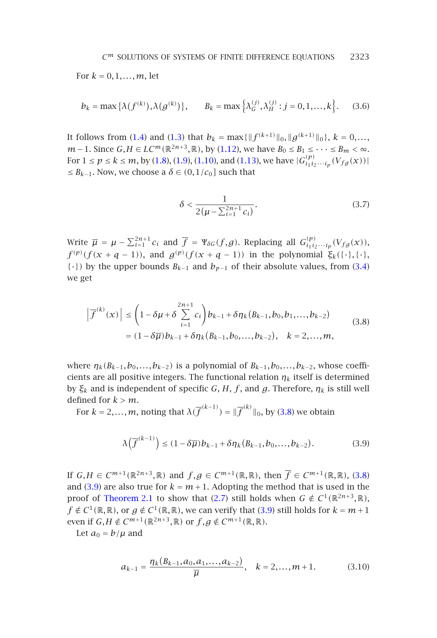$$
C^m
$$
 SOLUTIONS OF SYSTEMS OF FINITE DIFFERENCE EQUATIONS 2323

For  $k = 0, 1, ..., m$ , let

$$
b_k = \max\{\lambda(f^{(k)}), \lambda(g^{(k)})\}, \qquad B_k = \max\{\lambda_G^{(j)}, \lambda_H^{(j)} : j = 0, 1, ..., k\}.
$$
 (3.6)

It follows from (1.4) and (1.3) that  $b_k = \max{\{\|f^{(k+1)}\|_0, \|g^{(k+1)}\|_0\}}$ ,  $k = 0, \ldots$ , *m*−1. Since *G*, *H* ∈ *LC*<sup>*m*</sup>( $\mathbb{R}^{2n+3}$ ,  $\mathbb{R}$ ), by (1.12), we have  $B_0 \le B_1 \le \cdots \le B_m < \infty$ . For  $1 \le p \le k \le m$ , by (1.8), (1.9), (1.10), and (1.13), we have  $|G_{i_1 i_2 \cdots i_p}^{(p)}(V_{f g}(x))|$  $|G_{i_1 i_2 \cdots i_p}^{(p)}(V_{f g}(x))|$  $|G_{i_1 i_2 \cdots i_p}^{(p)}(V_{f g}(x))|$ ≤ *Bk*−1. Now, we choose a *δ* ∈ *(*0*,*1*/c*0*]* such that

<span id="page-8-1"></span><span id="page-8-0"></span>
$$
\delta < \frac{1}{2(\mu - \sum_{i=1}^{2n+1} c_i)}.\tag{3.7}
$$

Write  $\overline{\mu} = \mu - \sum_{i=1}^{2n+1} c_i$  and  $\overline{f} = \Psi_{\delta G}(f, g)$ . Replacing all  $G^{(p)}_{i_1 i_2 \cdots i_p} (V_{fg}(x))$ ,  $f^{(p)}(f(x + q - 1))$ , and  $g^{(p)}(f(x + q - 1))$  in the polynomial  $\xi_k(\{\cdot\},\{\cdot\})$ { $\cdot$ }) by the upper bounds *B<sub>k−1</sub>* and *b<sub>p−1</sub>* of their absolute values, from (3.4) we get

$$
\left|\overline{f}^{(k)}(x)\right| \leq \left(1 - \delta\mu + \delta \sum_{i=1}^{2n+1} c_i\right) b_{k-1} + \delta\eta_k (B_{k-1}, b_0, b_1, \dots, b_{k-2})
$$
\n
$$
= (1 - \delta\overline{\mu}) b_{k-1} + \delta\eta_k (B_{k-1}, b_0, \dots, b_{k-2}), \quad k = 2, \dots, m,
$$
\n(3.8)

where  $\eta_k(B_{k-1},b_0,\ldots,b_{k-2})$  is a polynomial of  $B_{k-1},b_0,\ldots,b_{k-2}$ , whose coefficients are all positive integers. The functional relation  $\eta_k$  itself is determ[ined](#page-8-0) by  $ξ_k$  [an](#page-8-1)d is independent of specific *G*, *H*, *f*, and *g*. Therefore,  $η_k$  is still well defined for  $k > m$ .

For  $k = 2,...,m$ , noting that  $\lambda(\overline{f}^{(k-1)}) = ||\overline{f}^{(k)}||_0$ , [by](#page-8-1) (3.8) we obtain

$$
\lambda(\overline{f}^{(k-1)}) \le (1 - \delta \overline{\mu}) b_{k-1} + \delta \eta_k (B_{k-1}, b_0, \dots, b_{k-2}).
$$
\n(3.9)

If  $G, H \in C^{m+1}(\mathbb{R}^{2n+3}, \mathbb{R})$  and  $f, g \in C^{m+1}(\mathbb{R}, \mathbb{R})$ , then  $\overline{f} \in C^{m+1}(\mathbb{R}, \mathbb{R})$ , (3.8) and (3.9) are also true for  $k = m + 1$ . Adopting the method that is used in the proof of Theorem 2.1 to show that (2.7) still holds when  $G \notin C^1(\mathbb{R}^{2n+3}, \mathbb{R})$ ,  $f \notin C^1(\mathbb{R}, \mathbb{R})$ , or  $g \notin C^1(\mathbb{R}, \mathbb{R})$ , we can verify that (3.9) still holds for  $k = m + 1$ even if  $G, H \notin C^{m+1}(\mathbb{R}^{2n+3}, \mathbb{R})$  or  $f, g \notin C^{m+1}(\mathbb{R}, \mathbb{R})$ .

Let  $a_0 = b/\mu$  and

$$
a_{k-1} = \frac{\eta_k(B_{k-1}, a_0, a_1, \dots, a_{k-2})}{\overline{\mu}}, \quad k = 2, \dots, m+1.
$$
 (3.10)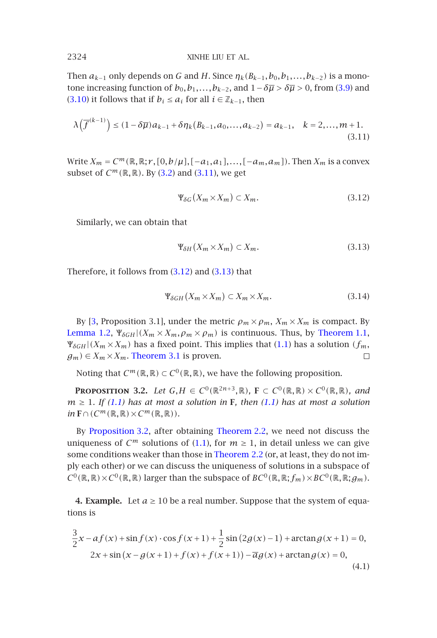Then  $a_{k-1}$  only depend[s](#page-6-2) [on](#page-6-2) *G* and *[H](#page-9-0)*. Since  $\eta_k(B_{k-1}, b_0, b_1, \ldots, b_{k-2})$  is a monotone increasing function of  $b_0, b_1, \ldots, b_{k-2}$ , and  $1-\delta\overline{\mu} > \delta\overline{\mu} > 0$ , from (3.9) and (3.10) it follows that if  $b_i \le a_i$  for all  $i \in \mathbb{Z}_{k-1}$ , then

$$
\lambda\left(\overline{f}^{(k-1)}\right) \le (1 - \delta\overline{\mu})a_{k-1} + \delta\eta_k(B_{k-1}, a_0, \dots, a_{k-2}) = a_{k-1}, \quad k = 2, \dots, m+1. \tag{3.11}
$$

 $Write X_m = C^m(\mathbb{R}, \mathbb{R}; r, [0, b/\mu], [-a_1, a_1], \ldots, [-a_m, a_m])$ . Then  $X_m$  is a convex subset of  $C^m(\mathbb{R}, \mathbb{R})$ . By (3.2[\) and](#page-9-1) (3.1[1\), we](#page-9-2) get

<span id="page-9-2"></span><span id="page-9-1"></span><span id="page-9-0"></span>
$$
\Psi_{\delta G}(X_m \times X_m) \subset X_m. \tag{3.12}
$$

Si[mila](#page-10-0)rly, we can obtain that

$$
\Psi_{\delta H}(X_m \times X_m) \subset X_m. \tag{3.13}
$$

<span id="page-9-3"></span>Therefore, it follows from (3.12) and (3.13) that

<span id="page-9-4"></span>
$$
\Psi_{\delta GH}(X_m \times X_m) \subset X_m \times X_m. \tag{3.14}
$$

By [3, Proposition 3.1], under the metric  $\rho_m \times \rho_m$ ,  $X_m \times X_m$  is compact. By Lem[ma 1.2,](#page-9-3)  $\Psi_{\delta GH} | (X_m \times X_m, \rho_m \times \rho_m)$  [is](#page-5-1) [continuou](#page-5-1)s. Thus, by Theorem 1.1,  $\Psi$ <sup>*δGH* | (*X<sub>m</sub>* × *X<sub>m</sub>*) has a fixed poi[nt.](#page-0-0) [T](#page-0-0)his implies that (1.1) has a solution *(f<sub>m</sub>*,</sup>  $g_m$ )  $\in X_m \times X_m$ . Theorem 3.1 is prov[en.](#page-5-1)  $\Box$ 

Noting that  $C^m(\mathbb{R}, \mathbb{R}) \subset C^0(\mathbb{R}, \mathbb{R})$ , we have the following proposition.

**PROPOSITION** 3.2. *Let*  $G, H \in C^0(\mathbb{R}^{2n+3}, \mathbb{R})$ *,*  $\mathbf{F} \subset C^0(\mathbb{R}, \mathbb{R}) \times C^0(\mathbb{R}, \mathbb{R})$ *, and*  $m \geq 1$ *. If (1.1) has at most a solution in* **F***, then (1.1) has at most a solution*  $in$  **F**  $\cap$   $(C^m(\mathbb{R}, \mathbb{R}) \times C^m(\mathbb{R}, \mathbb{R}))$ .

By Proposition 3.2, after obtaining Theorem 2.2, we need not discuss the uniqueness of  $C^m$  solutions of (1.1), for  $m \ge 1$ , in detail unless we can give some conditions weaker than those in Theorem 2.2 (or, at least, they do not imply each other) or we can discuss the uniqueness of solutions in a subspace of  $C^0(\mathbb{R}, \mathbb{R}) \times C^0(\mathbb{R}, \mathbb{R})$  larger than the subspace of  $BC^0(\mathbb{R}, \mathbb{R}; f_m) \times BC^0(\mathbb{R}, \mathbb{R}; g_m)$ .

**4. Example.** Let  $a \ge 10$  be a real number. Suppose that the system of equations is

$$
\frac{3}{2}x - af(x) + \sin f(x) \cdot \cos f(x+1) + \frac{1}{2}\sin(2g(x)-1) + \arctan g(x+1) = 0,2x + \sin(x - g(x+1) + f(x) + f(x+1)) - \overline{a}g(x) + \arctan g(x) = 0,
$$
\n(4.1)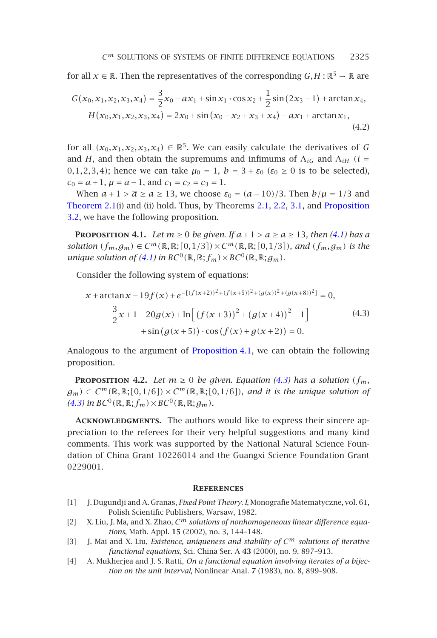for all  $x \in \mathbb{R}$ . Then the representatives of the corresponding  $G, H : \mathbb{R}^5 \to \mathbb{R}$  are

<span id="page-10-3"></span>
$$
G(x_0, x_1, x_2, x_3, x_4) = \frac{3}{2}x_0 - ax_1 + \sin x_1 \cdot \cos x_2 + \frac{1}{2}\sin(2x_3 - 1) + \arctan x_4,
$$
  
\n
$$
H(x_0, x_1, x_2, x_3, x_4) = 2x_0 + \sin(x_0 - x_2 + x_3 + x_4) - \overline{a}x_1 + \arctan x_1,
$$
\n(4.2)

for all  $(x_0, x_1, x_2, x_3, x_4) \in \mathbb{R}^5$ . We can easily calculate the derivatives of *G* and *H*, and then [obta](#page-9-4)in the supremums and infimums of  $\Lambda_{iG}$  and  $\Lambda_{iH}$  (*i* = 0*,*1*,*2*,*3*,*4*)*; hence we can take  $μ_0 = 1$ ,  $b = 3 + ε_0$  ( $ε_0 ≥ 0$  is to be selected),  $c_0 = a + 1$ ,  $\mu = a - 1$ , and  $c_1 = c_2 = c_3 = 1$ .

When  $a+1 > \overline{a} \ge a \ge 13$ , we choose  $\varepsilon_0 = (a-10)/3$ . Then  $b/\mu = 1/3$  and Theorem 2.1(i) and (ii) hold. Thus, by Theorems 2.1, 2.2, 3.1, and Proposition 3.2, we have the following proposition.

**PROPOSITION 4.1.** *Let*  $m \ge 0$  *be given. If*  $a+1 > \overline{a} \ge a \ge 13$ *, then* (4.1) has a *solution*  $(f_m, g_m)$  ∈  $C^m(\mathbb{R}, \mathbb{R}; [0, 1/3]) \times C^m(\mathbb{R}, \mathbb{R}; [0, 1/3])$  $C^m(\mathbb{R}, \mathbb{R}; [0, 1/3]) \times C^m(\mathbb{R}, \mathbb{R}; [0, 1/3])$  $C^m(\mathbb{R}, \mathbb{R}; [0, 1/3]) \times C^m(\mathbb{R}, \mathbb{R}; [0, 1/3])$ *, and*  $(f_m, g_m)$  *is the unique solution of (4.1) in*  $BC^0(\mathbb{R}, \mathbb{R}; f_m) \times BC^0(\mathbb{R}, \mathbb{R}; g_m)$ *.* 

Consider the following system of equations:

$$
x + \arctan x - 19f(x) + e^{-[(f(x+2))^2 + (f(x+5))^2 + (g(x))^2 + (g(x+8))^2]} = 0,
$$
  

$$
\frac{3}{2}x + 1 - 20g(x) + \ln[(f(x+3))^2 + (g(x+4))^2 + 1] + \sin(g(x+5)) \cdot \cos(f(x) + g(x+2)) = 0.
$$
 (4.3)

Analogous to the argument of Proposition 4.1, we can obtain the following proposition.

<span id="page-10-2"></span>**PROPOSITION 4.2.** *Let*  $m \ge 0$  *be given. Equation (4.3) has a solution*  $(f_m, f_m)$  $g_m$ )  $\in C^m(\mathbb{R}, \mathbb{R}; [0, 1/6]) \times C^m(\mathbb{R}, \mathbb{R}; [0, 1/6])$ *, and it is the unique solution of*  $(4.3)$  in  $BC^0(\mathbb{R}, \mathbb{R}; f_m) \times BC^0(\mathbb{R}, \mathbb{R}; g_m)$ .

<span id="page-10-1"></span><span id="page-10-0"></span>**Acknowledgments.** The authors would like to express their sincere appreciation to the referees for their very helpful suggestions and many kind comments. This work was supported by the National Natural Science Foundation of China Grant 10226014 and the Guangxi Science Foundation Grant 0229001.

#### **References**

- [1] J. Dugundji and A. Granas, *Fixed Point Theory. I*, Monografie Matematyczne, vol. 61, Polish Scientific Publishers, Warsaw, 1982.
- [2] X. Liu, J. Ma, and X. Zhao, *C<sup>m</sup> solutions of nonhomogeneous linear difference equations*, Math. Appl. **15** (2002), no. 3, 144–148.
- [3] J. Mai and X. Liu, *Existence, uniqueness and stability of C<sup>m</sup> solutions of iterative functional equations*, Sci. China Ser. A **43** (2000), no. 9, 897–913.
- [4] A. Mukherjea and J. S. Ratti, *On a functional equation involving iterates of a bijection on the unit interval*, Nonlinear Anal. **7** (1983), no. 8, 899–908.